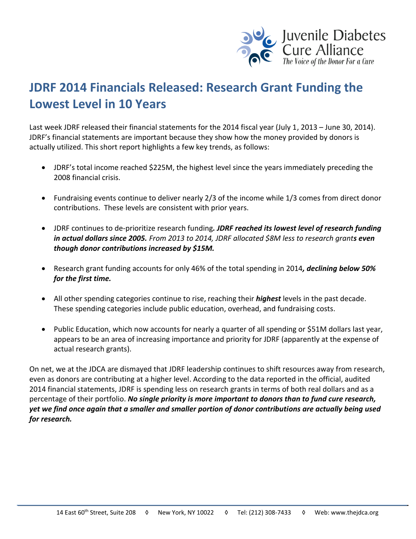

## **JDRF 2014 Financials Released: Research Grant Funding the Lowest Level in 10 Years**

Last week JDRF released their financial statements for the 2014 fiscal year (July 1, 2013 – June 30, 2014). JDRF's financial statements are important because they show how the money provided by donors is actually utilized. This short report highlights a few key trends, as follows:

- JDRF's total income reached \$225M, the highest level since the years immediately preceding the 2008 financial crisis.
- Fundraising events continue to deliver nearly 2/3 of the income while 1/3 comes from direct donor contributions. These levels are consistent with prior years.
- JDRF continues to de-prioritize research funding*. JDRF reached its lowest level of research funding in actual dollars since 2005. From 2013 to 2014, JDRF allocated \$8M less to research grants even though donor contributions increased by \$15M.*
- Research grant funding accounts for only 46% of the total spending in 2014*, declining below 50% for the first time.*
- All other spending categories continue to rise, reaching their *highest* levels in the past decade. These spending categories include public education, overhead, and fundraising costs.
- Public Education, which now accounts for nearly a quarter of all spending or \$51M dollars last year, appears to be an area of increasing importance and priority for JDRF (apparently at the expense of actual research grants).

On net, we at the JDCA are dismayed that JDRF leadership continues to shift resources away from research, even as donors are contributing at a higher level. According to the data reported in the official, audited 2014 financial statements, JDRF is spending less on research grants in terms of both real dollars and as a percentage of their portfolio. *No single priority is more important to donors than to fund cure research, yet we find once again that a smaller and smaller portion of donor contributions are actually being used for research.*